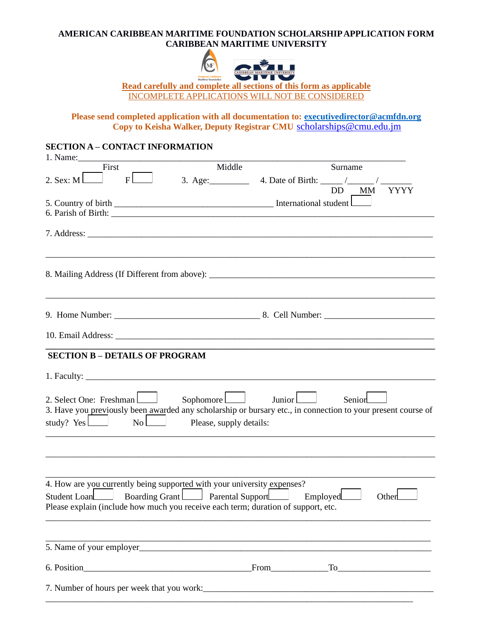# **AMERICAN CARIBBEAN MARITIME FOUNDATION SCHOLARSHIP APPLICATION FORM CARIBBEAN MARITIME UNIVERSITY**



**Read carefully and complete all sections of this form as applicable** INCOMPLETE APPLICATIONS WILL NOT BE CONSIDERED

**Please send completed application with all documentation to: [executivedirector@acmfdn.org](mailto:gbaworldwide@gmail.com)** Copy to Keisha Walker, Deputy Registrar CMU [scholarships@cmu.ed](mailto:kwalker@cmu.edu.jm)u.jm

# **SECTION A – CONTACT INFORMATION**

| 1. Name:                                                                                                                                                                                                              |                                      |                                                                                                                                         |
|-----------------------------------------------------------------------------------------------------------------------------------------------------------------------------------------------------------------------|--------------------------------------|-----------------------------------------------------------------------------------------------------------------------------------------|
| First                                                                                                                                                                                                                 | Middle                               | Surname                                                                                                                                 |
| 2. Sex: $ML$<br>F <sub>L</sub>                                                                                                                                                                                        |                                      |                                                                                                                                         |
|                                                                                                                                                                                                                       |                                      | DD MM<br><b>YYYY</b>                                                                                                                    |
|                                                                                                                                                                                                                       |                                      |                                                                                                                                         |
|                                                                                                                                                                                                                       |                                      |                                                                                                                                         |
|                                                                                                                                                                                                                       |                                      |                                                                                                                                         |
|                                                                                                                                                                                                                       |                                      | 8. Mailing Address (If Different from above): ___________________________________                                                       |
|                                                                                                                                                                                                                       |                                      |                                                                                                                                         |
|                                                                                                                                                                                                                       |                                      |                                                                                                                                         |
|                                                                                                                                                                                                                       |                                      |                                                                                                                                         |
| <b>SECTION B - DETAILS OF PROGRAM</b>                                                                                                                                                                                 |                                      |                                                                                                                                         |
|                                                                                                                                                                                                                       |                                      |                                                                                                                                         |
| 2. Select One: Freshman<br>study? $Yes \Box$ No $\Box$                                                                                                                                                                | Sophomore<br>Please, supply details: | Junior $\Box$<br>Senior<br>3. Have you previously been awarded any scholarship or bursary etc., in connection to your present course of |
|                                                                                                                                                                                                                       |                                      |                                                                                                                                         |
|                                                                                                                                                                                                                       |                                      |                                                                                                                                         |
| 4. How are you currently being supported with your university expenses?<br>Student Loan Boarding Grant Parental Support Employed<br>Please explain (include how much you receive each term; duration of support, etc. |                                      | Other                                                                                                                                   |
| 5. Name of your employer                                                                                                                                                                                              |                                      |                                                                                                                                         |
|                                                                                                                                                                                                                       |                                      |                                                                                                                                         |
|                                                                                                                                                                                                                       |                                      |                                                                                                                                         |
|                                                                                                                                                                                                                       |                                      |                                                                                                                                         |
|                                                                                                                                                                                                                       |                                      |                                                                                                                                         |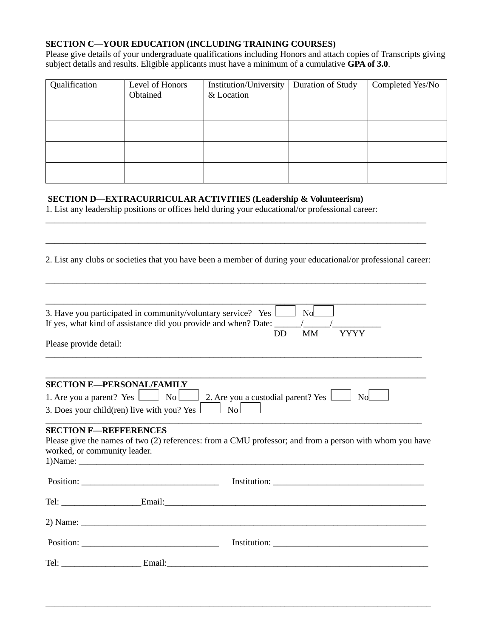## **SECTION C—YOUR EDUCATION (INCLUDING TRAINING COURSES)**

Please give details of your undergraduate qualifications including Honors and attach copies of Transcripts giving subject details and results. Eligible applicants must have a minimum of a cumulative **GPA of 3.0**.

| Qualification | Level of Honors | Institution/University<br>& Location | Duration of Study | Completed Yes/No |
|---------------|-----------------|--------------------------------------|-------------------|------------------|
|               | Obtained        |                                      |                   |                  |
|               |                 |                                      |                   |                  |
|               |                 |                                      |                   |                  |
|               |                 |                                      |                   |                  |
|               |                 |                                      |                   |                  |

# **SECTION D—EXTRACURRICULAR ACTIVITIES (Leadership & Volunteerism)**

1. List any leadership positions or offices held during your educational/or professional career:

2. List any clubs or societies that you have been a member of during your educational/or professional career:

\_\_\_\_\_\_\_\_\_\_\_\_\_\_\_\_\_\_\_\_\_\_\_\_\_\_\_\_\_\_\_\_\_\_\_\_\_\_\_\_\_\_\_\_\_\_\_\_\_\_\_\_\_\_\_\_\_\_\_\_\_\_\_\_\_\_\_\_\_\_\_\_\_\_\_\_\_\_\_\_\_\_\_\_\_\_

\_\_\_\_\_\_\_\_\_\_\_\_\_\_\_\_\_\_\_\_\_\_\_\_\_\_\_\_\_\_\_\_\_\_\_\_\_\_\_\_\_\_\_\_\_\_\_\_\_\_\_\_\_\_\_\_\_\_\_\_\_\_\_\_\_\_\_\_\_\_\_\_\_\_\_\_\_\_\_\_\_\_\_\_\_\_

\_\_\_\_\_\_\_\_\_\_\_\_\_\_\_\_\_\_\_\_\_\_\_\_\_\_\_\_\_\_\_\_\_\_\_\_\_\_\_\_\_\_\_\_\_\_\_\_\_\_\_\_\_\_\_\_\_\_\_\_\_\_\_\_\_\_\_\_\_\_\_\_\_\_\_\_\_\_\_\_\_\_\_\_\_\_

| 3. Have you participated in community/voluntary service? Yes <b>Lace Algebra</b> No |    |    |             |
|-------------------------------------------------------------------------------------|----|----|-------------|
| If yes, what kind of assistance did you provide and when? Date:                     |    |    |             |
|                                                                                     | DD | MМ | <b>YYYY</b> |
| Please provide detail                                                               |    |    |             |

|  |  |  | _____ |
|--|--|--|-------|

| <b>SECTION E-PERSONAL/FAMILY</b>                                                       |  |  |  |  |  |
|----------------------------------------------------------------------------------------|--|--|--|--|--|
| 1. Are you a parent? Yes $\Box$ No $\Box$ 2. Are you a custodial parent? Yes $\Box$ No |  |  |  |  |  |
|                                                                                        |  |  |  |  |  |

#### **\_\_\_\_\_\_\_\_\_\_\_\_\_\_\_\_\_\_\_\_\_\_\_\_\_\_\_\_\_\_\_\_\_\_\_\_\_\_\_\_\_\_\_\_\_\_\_\_\_\_\_\_\_\_\_\_\_\_\_\_\_\_\_\_\_\_\_\_\_\_\_\_\_\_\_\_\_\_\_\_\_\_\_\_\_ SECTION F—REFFERENCES**

Please give the names of two (2) references: from a CMU professor; and from a person with whom you have worked, or community leader. 1)Name: \_\_\_\_\_\_\_\_\_\_\_\_\_\_\_\_\_\_\_\_\_\_\_\_\_\_\_\_\_\_\_\_\_\_\_\_\_\_\_\_\_\_\_\_\_\_\_\_\_\_\_\_\_\_\_\_\_\_\_\_\_\_\_\_\_\_\_\_\_\_\_\_\_\_\_\_\_\_

| $\frac{1}{1}$ |  |
|---------------|--|
|               |  |

\_\_\_\_\_\_\_\_\_\_\_\_\_\_\_\_\_\_\_\_\_\_\_\_\_\_\_\_\_\_\_\_\_\_\_\_\_\_\_\_\_\_\_\_\_\_\_\_\_\_\_\_\_\_\_\_\_\_\_\_\_\_\_\_\_\_\_\_\_\_\_\_\_\_\_\_\_\_\_\_\_\_\_\_\_\_\_